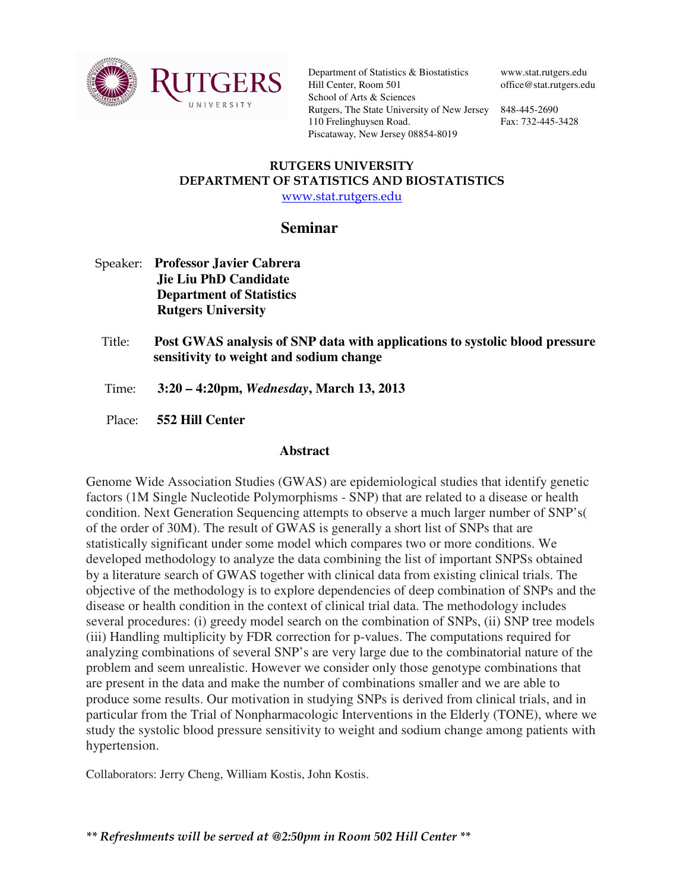

Department of Statistics & Biostatistics Hill Center, Room 501 School of Arts & Sciences Rutgers, The State University of New Jersey 848-445-2690 110 Frelinghuysen Road. Piscataway, New Jersey 08854-8019

www.stat.rutgers.edu office@stat.rutgers.edu

Fax: 732-445-3428

## RUTGERS UNIVERSITY DEPARTMENT OF STATISTICS AND BIOSTATISTICS www.stat.rutgers.edu

## **Seminar**

- Speaker: **Professor Javier Cabrera Jie Liu PhD Candidate Department of Statistics Rutgers University**
- Title: **Post GWAS analysis of SNP data with applications to systolic blood pressure sensitivity to weight and sodium change**
- Time: **3:20 4:20pm,** *Wednesday***, March 13, 2013**
- Place: **552 Hill Center**

## **Abstract**

Genome Wide Association Studies (GWAS) are epidemiological studies that identify genetic factors (1M Single Nucleotide Polymorphisms - SNP) that are related to a disease or health condition. Next Generation Sequencing attempts to observe a much larger number of SNP's( of the order of 30M). The result of GWAS is generally a short list of SNPs that are statistically significant under some model which compares two or more conditions. We developed methodology to analyze the data combining the list of important SNPSs obtained by a literature search of GWAS together with clinical data from existing clinical trials. The objective of the methodology is to explore dependencies of deep combination of SNPs and the disease or health condition in the context of clinical trial data. The methodology includes several procedures: (i) greedy model search on the combination of SNPs, (ii) SNP tree models (iii) Handling multiplicity by FDR correction for p-values. The computations required for analyzing combinations of several SNP's are very large due to the combinatorial nature of the problem and seem unrealistic. However we consider only those genotype combinations that are present in the data and make the number of combinations smaller and we are able to produce some results. Our motivation in studying SNPs is derived from clinical trials, and in particular from the Trial of Nonpharmacologic Interventions in the Elderly (TONE), where we study the systolic blood pressure sensitivity to weight and sodium change among patients with hypertension.

Collaborators: Jerry Cheng, William Kostis, John Kostis.

\*\* Refreshments will be served at @2:50pm in Room 502 Hill Center \*\*